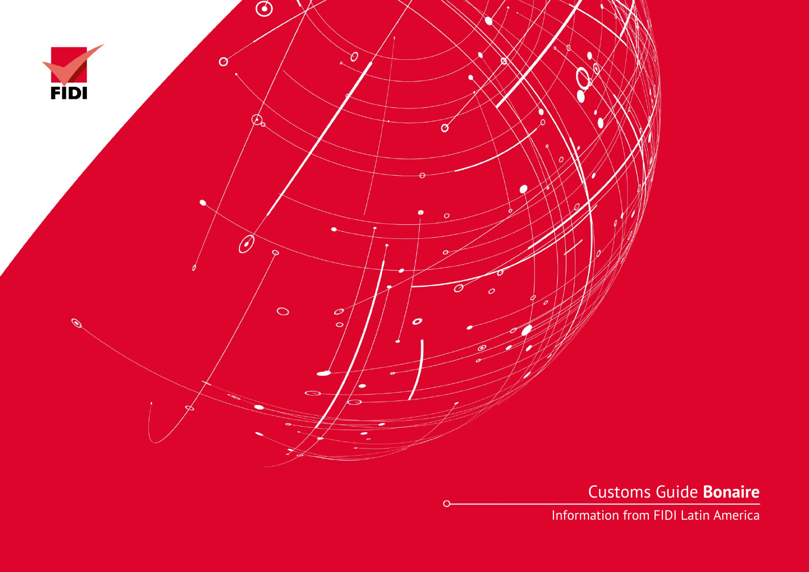

Customs Guide **Bonaire**

Information from FIDI Latin America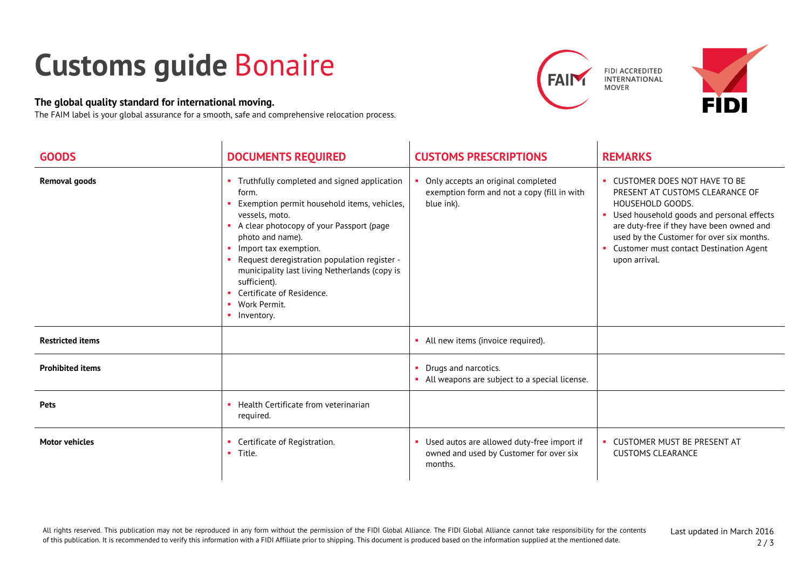## **Customs guide** Bonaire

## **The global quality standard for international moving.**

The FAIM label is your global assurance for a smooth, safe and comprehensive relocation process.





| <b>GOODS</b>            | <b>DOCUMENTS REQUIRED</b>                                                                                                                                                                                                                                                                                                                                                                                                                     | <b>CUSTOMS PRESCRIPTIONS</b>                                                                       | <b>REMARKS</b>                                                                                                                                                                                                                                                                           |
|-------------------------|-----------------------------------------------------------------------------------------------------------------------------------------------------------------------------------------------------------------------------------------------------------------------------------------------------------------------------------------------------------------------------------------------------------------------------------------------|----------------------------------------------------------------------------------------------------|------------------------------------------------------------------------------------------------------------------------------------------------------------------------------------------------------------------------------------------------------------------------------------------|
| <b>Removal goods</b>    | Truthfully completed and signed application<br>form.<br>Exemption permit household items, vehicles,<br>×<br>vessels, moto.<br>A clear photocopy of your Passport (page<br><b>CO</b><br>photo and name).<br>Import tax exemption.<br><b>CO</b><br>Request deregistration population register -<br>×.<br>municipality last living Netherlands (copy is<br>sufficient).<br>Certificate of Residence.<br>×.<br>Work Permit.<br>×.<br>• Inventory. | Only accepts an original completed<br>exemption form and not a copy (fill in with<br>blue ink).    | • CUSTOMER DOES NOT HAVE TO BE<br>PRESENT AT CUSTOMS CLEARANCE OF<br>HOUSEHOLD GOODS.<br>Used household goods and personal effects<br>are duty-free if they have been owned and<br>used by the Customer for over six months.<br>Customer must contact Destination Agent<br>upon arrival. |
| <b>Restricted items</b> |                                                                                                                                                                                                                                                                                                                                                                                                                                               | • All new items (invoice required).                                                                |                                                                                                                                                                                                                                                                                          |
| <b>Prohibited items</b> |                                                                                                                                                                                                                                                                                                                                                                                                                                               | Drugs and narcotics.<br>• All weapons are subject to a special license.                            |                                                                                                                                                                                                                                                                                          |
| <b>Pets</b>             | Health Certificate from veterinarian<br><b>COL</b><br>required.                                                                                                                                                                                                                                                                                                                                                                               |                                                                                                    |                                                                                                                                                                                                                                                                                          |
| <b>Motor vehicles</b>   | Certificate of Registration.<br><b>COL</b><br>$\blacksquare$ Title.                                                                                                                                                                                                                                                                                                                                                                           | • Used autos are allowed duty-free import if<br>owned and used by Customer for over six<br>months. | <b>CUSTOMER MUST BE PRESENT AT</b><br><b>CUSTOMS CLEARANCE</b>                                                                                                                                                                                                                           |